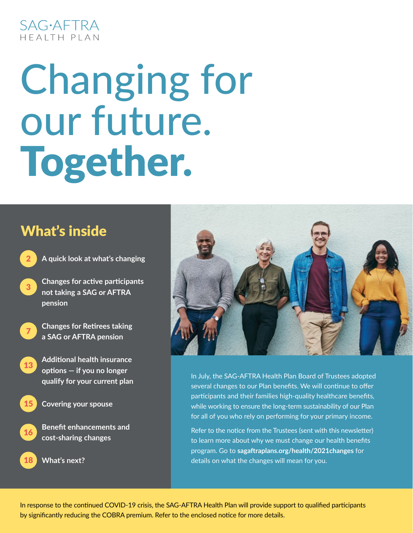### **SAG**·AFTRA HFAITH PIAN

# Changing for our future. Together.

## What's inside

- **A quick look at what's changing**
- **Changes for active participants not taking a SAG or AFTRA pension**
- 7

15

16

18

2

3

- **Changes for Retirees taking a SAG or AFTRA pension**
- **Additional health insurance options — if you no longer qualify for your current plan** 13
	- **Covering your spouse**
		- **Benefit enhancements and cost-sharing changes**
	- **What's next?**



In July, the SAG-AFTRA Health Plan Board of Trustees adopted several changes to our Plan benefits. We will continue to offer participants and their families high-quality healthcare benefits, while working to ensure the long-term sustainability of our Plan for all of you who rely on performing for your primary income.

Refer to the notice from the Trustees (sent with this newsletter) to learn more about why we must change our health benefits program. Go to **[sagaftraplans.org/health/2021changes](http://sagaftraplans.org/health/2021changes)** for details on what the changes will mean for you.

In response to the continued COVID-19 crisis, the SAG-AFTRA Health Plan will provide support to qualified participants by significantly reducing the COBRA premium. Refer to the enclosed notice for more details.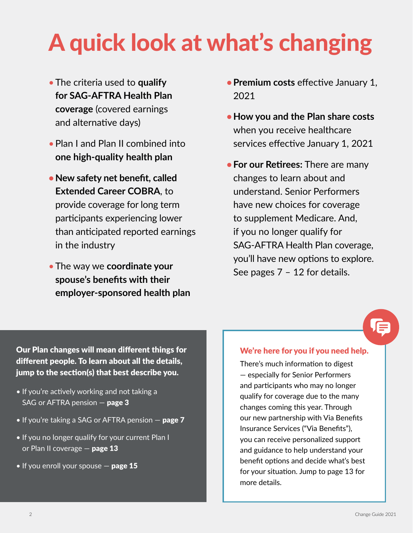## A quick look at what's changing

- •The criteria used to **qualify for SAG-AFTRA Health Plan coverage** (covered earnings and alternative days)
- •Plan I and Plan II combined into **one high-quality health plan**
- **•New safety net benefit, called Extended Career COBRA**, to provide coverage for long term participants experiencing lower than anticipated reported earnings in the industry
- •The way we **coordinate your spouse's benefits with their employer-sponsored health plan**
- **•Premium costs** effective January 1, 2021
- **•How you and the Plan share costs** when you receive healthcare services effective January 1, 2021
- **•For our Retirees:** There are many changes to learn about and understand. Senior Performers have new choices for coverage to supplement Medicare. And, if you no longer qualify for SAG-AFTRA Health Plan coverage, you'll have new options to explore. See pages 7 – 12 for details.

Our Plan changes will mean different things for different people. To learn about all the details, jump to the section(s) that best describe you.

- If you're actively working and not taking a SAG or AFTRA pension  $-$  page 3
- $\bullet$  If you're taking a SAG or AFTRA pension  $-$  page 7
- If you no longer qualify for your current Plan I or Plan II coverage  $-$  page 13
- $\bullet$  If you enroll your spouse  $-$  page 15

#### We're here for you if you need help.

There's much information to digest — especially for Senior Performers and participants who may no longer qualify for coverage due to the many changes coming this year. Through our new partnership with Via Benefits Insurance Services ("Via Benefits"), you can receive personalized support and guidance to help understand your benefit options and decide what's best for your situation. Jump to page 13 for more details.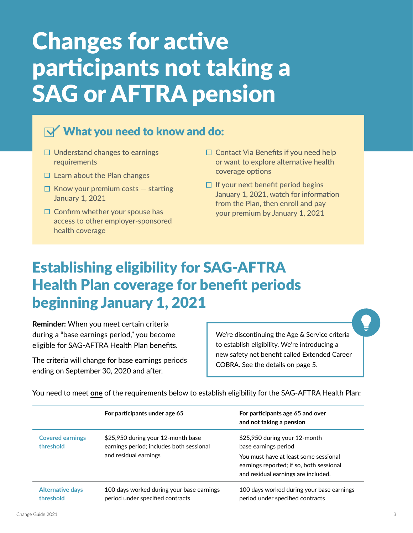## Changes for active participants not taking a SAG or AFTRA pension

### $\mathbf{N}'$  What you need to know and do:

- $\Box$  Understand changes to earnings requirements
- $\Box$  Learn about the Plan changes
- $\Box$  Know your premium costs  $-$  starting January 1, 2021
- $\Box$  Confirm whether your spouse has access to other employer-sponsored health coverage
- $\Box$  Contact Via Benefits if you need help or want to explore alternative health coverage options
- $\Box$  If your next benefit period begins January 1, 2021, watch for information from the Plan, then enroll and pay your premium by January 1, 2021

## Establishing eligibility for SAG-AFTRA Health Plan coverage for benefit periods beginning January 1, 2021

**Reminder:** When you meet certain criteria during a "base earnings period," you become eligible for SAG-AFTRA Health Plan benefits.

The criteria will change for base earnings periods ending on September 30, 2020 and after.

We're discontinuing the Age & Service criteria to establish eligibility. We're introducing a new safety net benefit called Extended Career COBRA. See the details on page 5.

|                                      | For participants under age 65                                                                           | For participants age 65 and over<br>and not taking a pension                                                                                                                      |
|--------------------------------------|---------------------------------------------------------------------------------------------------------|-----------------------------------------------------------------------------------------------------------------------------------------------------------------------------------|
| <b>Covered earnings</b><br>threshold | \$25,950 during your 12-month base<br>earnings period; includes both sessional<br>and residual earnings | \$25,950 during your 12-month<br>base earnings period<br>You must have at least some sessional<br>earnings reported; if so, both sessional<br>and residual earnings are included. |
| <b>Alternative days</b><br>threshold | 100 days worked during your base earnings<br>period under specified contracts                           | 100 days worked during your base earnings<br>period under specified contracts                                                                                                     |

You need to meet **one** of the requirements below to establish eligibility for the SAG-AFTRA Health Plan: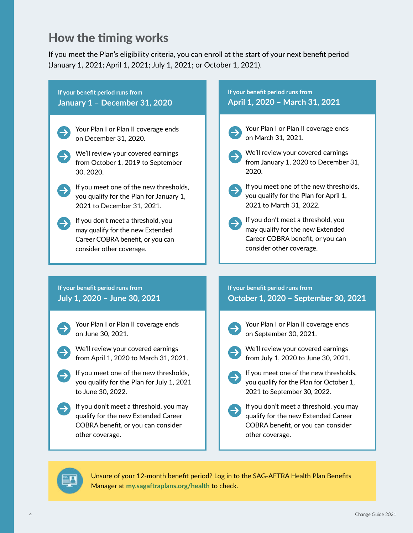### How the timing works

If you meet the Plan's eligibility criteria, you can enroll at the start of your next benefit period (January 1, 2021; April 1, 2021; July 1, 2021; or October 1, 2021).

#### **If your benefit period runs from January 1 – December 31, 2020**

- Your Plan I or Plan II coverage ends on December 31, 2020.
- We'll review your covered earnings from October 1, 2019 to September 30, 2020.
- If you meet one of the new thresholds, you qualify for the Plan for January 1, 2021 to December 31, 2021.
- If you don't meet a threshold, you may qualify for the new Extended Career COBRA benefit, or you can consider other coverage.

#### **If your benefit period runs from April 1, 2020 – March 31, 2021**

Your Plan I or Plan II coverage ends on March 31, 2021.

- We'll review your covered earnings from January 1, 2020 to December 31, 2020.
- If you meet one of the new thresholds, you qualify for the Plan for April 1, 2021 to March 31, 2022.
- If you don't meet a threshold, you may qualify for the new Extended Career COBRA benefit, or you can consider other coverage.

**If your benefit period runs from July 1, 2020 – June 30, 2021**

- Your Plan I or Plan II coverage ends on June 30, 2021.
- We'll review your covered earnings from April 1, 2020 to March 31, 2021.
- If you meet one of the new thresholds, you qualify for the Plan for July 1, 2021 to June 30, 2022.
- If you don't meet a threshold, you may qualify for the new Extended Career COBRA benefit, or you can consider other coverage.

#### **If your benefit period runs from**

**October 1, 2020 – September 30, 2021**

- - Your Plan I or Plan II coverage ends on September 30, 2021.
- 
- We'll review your covered earnings from July 1, 2020 to June 30, 2021.
	- If you meet one of the new thresholds, you qualify for the Plan for October 1, 2021 to September 30, 2022.
	- If you don't meet a threshold, you may qualify for the new Extended Career COBRA benefit, or you can consider other coverage.



Unsure of your 12-month benefit period? Log in to the SAG-AFTRA Health Plan Benefits Manager at **[my.sagaftraplans.org/health](http://my.sagaftraplans.org/health)** to check.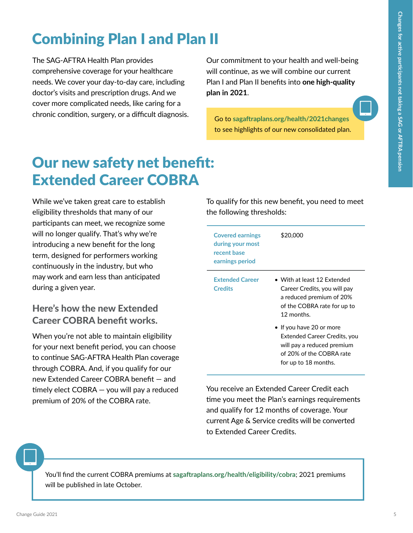## Combining Plan I and Plan II

The SAG-AFTRA Health Plan provides comprehensive coverage for your healthcare needs. We cover your day-to-day care, including doctor's visits and prescription drugs. And we cover more complicated needs, like caring for a chronic condition, surgery, or a difficult diagnosis. Our commitment to your health and well-being will continue, as we will combine our current Plan I and Plan II benefits into **one high-quality plan in 2021**.

Go to **[sagaftraplans.org/health/2021changes](http://sagaftraplans.org/health/2021changes)** to see highlights of our new consolidated plan.

## Our new safety net benefit: Extended Career COBRA

While we've taken great care to establish eligibility thresholds that many of our participants can meet, we recognize some will no longer qualify. That's why we're introducing a new benefit for the long term, designed for performers working continuously in the industry, but who may work and earn less than anticipated during a given year.

#### Here's how the new Extended Career COBRA benefit works.

When you're not able to maintain eligibility for your next benefit period, you can choose to continue SAG-AFTRA Health Plan coverage through COBRA. And, if you qualify for our new Extended Career COBRA benefit — and timely elect COBRA — you will pay a reduced premium of 20% of the COBRA rate.

To qualify for this new benefit, you need to meet the following thresholds:

| <b>Covered earnings</b><br>during your most<br>recent base<br>earnings period | \$20.000                                                                                                                                           |
|-------------------------------------------------------------------------------|----------------------------------------------------------------------------------------------------------------------------------------------------|
| <b>Extended Career</b><br><b>Credits</b>                                      | • With at least 12 Extended<br>Career Credits, you will pay<br>a reduced premium of 20%<br>of the COBRA rate for up to<br>12 months.               |
|                                                                               | $\bullet$ If you have 20 or more<br>Extended Career Credits, you<br>will pay a reduced premium<br>of 20% of the COBRA rate<br>for up to 18 months. |

You receive an Extended Career Credit each time you meet the Plan's earnings requirements and qualify for 12 months of coverage. Your current Age & Service credits will be converted to Extended Career Credits.

You'll find the current COBRA premiums at **[sagaftraplans.org/health/eligibility/cobra](http://sagaftraplans.org/health/eligibility/cobra)**; 2021 premiums will be published in late October.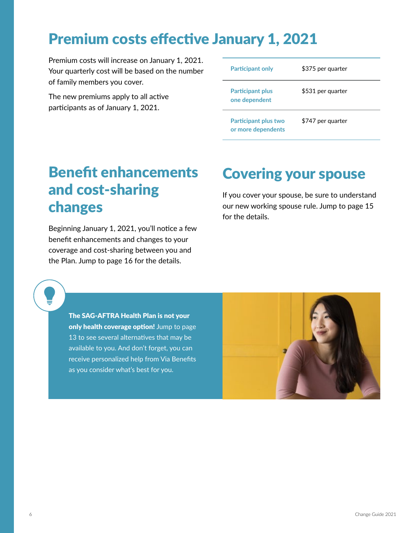## Premium costs effective January 1, 2021

Premium costs will increase on January 1, 2021. Your quarterly cost will be based on the number of family members you cover.

The new premiums apply to all active participants as of January 1, 2021.

| <b>Participant only</b>                           | \$375 per quarter |
|---------------------------------------------------|-------------------|
| <b>Participant plus</b><br>one dependent          | \$531 per quarter |
| <b>Participant plus two</b><br>or more dependents | \$747 per quarter |

## Benefit enhancements and cost-sharing changes

Beginning January 1, 2021, you'll notice a few benefit enhancements and changes to your coverage and cost-sharing between you and the Plan. Jump to page 16 for the details.

### Covering your spouse

If you cover your spouse, be sure to understand our new working spouse rule. Jump to page 15 for the details.

The SAG-AFTRA Health Plan is not your only health coverage option! Jump to page 13 to see several alternatives that may be available to you. And don't forget, you can receive personalized help from Via Benefits as you consider what's best for you.

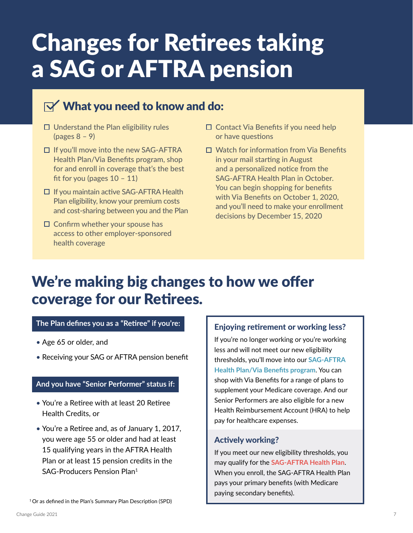## Changes for Retirees taking a SAG or AFTRA pension

### $\mathbf{N}'$  What you need to know and do:

- $\Box$  Understand the Plan eligibility rules (pages 8 – 9)
- $\Box$  If you'll move into the new SAG-AFTRA Health Plan/Via Benefits program, shop for and enroll in coverage that's the best fit for you (pages  $10 - 11$ )
- $\Box$  If you maintain active SAG-AFTRA Health Plan eligibility, know your premium costs and cost-sharing between you and the Plan
- $\square$  Confirm whether your spouse has access to other employer-sponsored health coverage
- $\square$  Contact Via Benefits if you need help or have questions
- □ Watch for information from Via Benefits in your mail starting in August and a personalized notice from the SAG-AFTRA Health Plan in October. You can begin shopping for benefits with Via Benefits on October 1, 2020, and you'll need to make your enrollment decisions by December 15, 2020

## We're making big changes to how we offer coverage for our Retirees.

#### **The Plan defines you as a "Retiree" if you're:**

- Age 65 or older, and
- Receiving your SAG or AFTRA pension benefit

#### **And you have "Senior Performer" status if:**

- You're a Retiree with at least 20 Retiree Health Credits, or
- You're a Retiree and, as of January 1, 2017, you were age 55 or older and had at least 15 qualifying years in the AFTRA Health Plan or at least 15 pension credits in the SAG-Producers Pension Plan1

#### Enjoying retirement or working less?

If you're no longer working or you're working less and will not meet our new eligibility thresholds, you'll move into our **SAG-AFTRA Health Plan/Via Benefits program**. You can shop with Via Benefits for a range of plans to supplement your Medicare coverage. And our Senior Performers are also eligible for a new Health Reimbursement Account (HRA) to help pay for healthcare expenses.

#### Actively working?

If you meet our new eligibility thresholds, you may qualify for the **SAG-AFTRA Health Plan**. When you enroll, the SAG-AFTRA Health Plan pays your primary benefits (with Medicare paying secondary benefits).

1 Or as defined in the Plan's Summary Plan Description (SPD)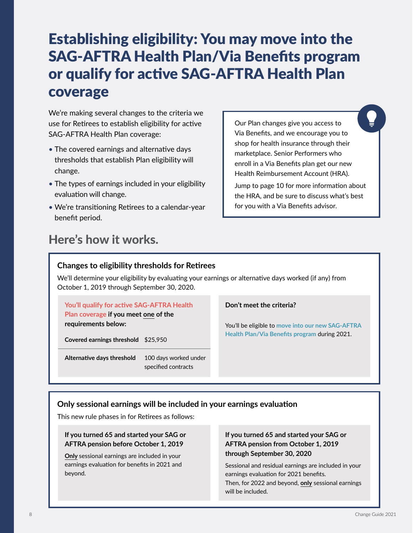## Establishing eligibility: You may move into the SAG-AFTRA Health Plan/Via Benefits program or qualify for active SAG-AFTRA Health Plan coverage

We're making several changes to the criteria we use for Retirees to establish eligibility for active SAG-AFTRA Health Plan coverage:

- The covered earnings and alternative days thresholds that establish Plan eligibility will change.
- The types of earnings included in your eligibility evaluation will change.
- We're transitioning Retirees to a calendar-year benefit period.

### Here's how it works.

Our Plan changes give you access to Via Benefits, and we encourage you to shop for health insurance through their marketplace. Senior Performers who enroll in a Via Benefits plan get our new Health Reimbursement Account (HRA).

Jump to page 10 for more information about the HRA, and be sure to discuss what's best for you with a Via Benefits advisor.

#### **Changes to eligibility thresholds for Retirees**

We'll determine your eligibility by evaluating your earnings or alternative days worked (if any) from October 1, 2019 through September 30, 2020.

**You'll qualify for active SAG-AFTRA Health Plan coverage if you meet one of the requirements below:**

**Covered earnings threshold** \$25,950

**Alternative days threshold** 100 days worked under specified contracts

#### **Don't meet the criteria?**

You'll be eligible to **move into our new SAG-AFTRA Health Plan/Via Benefits program** during 2021.

#### **Only sessional earnings will be included in your earnings evaluation**

This new rule phases in for Retirees as follows:

#### **If you turned 65 and started your SAG or AFTRA pension before October 1, 2019**

**Only** sessional earnings are included in your earnings evaluation for benefits in 2021 and beyond.

#### **If you turned 65 and started your SAG or AFTRA pension from October 1, 2019 through September 30, 2020**

Sessional and residual earnings are included in your earnings evaluation for 2021 benefits. Then, for 2022 and beyond, **only** sessional earnings will be included.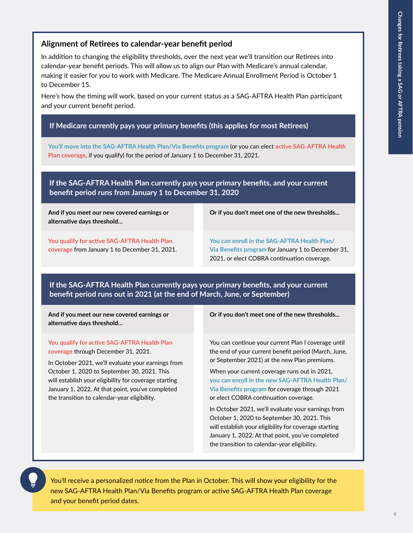#### **Alignment of Retirees to calendar-year benefit period**

In addition to changing the eligibility thresholds, over the next year we'll transition our Retirees into calendar-year benefit periods. This will allow us to align our Plan with Medicare's annual calendar, making it easier for you to work with Medicare. The Medicare Annual Enrollment Period is October 1 to December 15.

Here's how the timing will work, based on your current status as a SAG-AFTRA Health Plan participant and your current benefit period.

#### **If Medicare currently pays your primary benefits (this applies for most Retirees)**

**You'll move into the SAG-AFTRA Health Plan/Via Benefits program** (or you can elect **active SAG-AFTRA Health Plan coverage**, if you qualify) for the period of January 1 to December 31, 2021.

**If the SAG-AFTRA Health Plan currently pays your primary benefits, and your current benefit period runs from January 1 to December 31, 2020**

**And if you meet our new covered earnings or alternative days threshold…**

**Or if you don't meet one of the new thresholds...**

**You qualify for active SAG-AFTRA Health Plan coverage** from January 1 to December 31, 2021.

**You can enroll in the SAG-AFTRA Health Plan/ Via Benefits program** for January 1 to December 31, 2021, or elect COBRA continuation coverage.

**If the SAG-AFTRA Health Plan currently pays your primary benefits, and your current benefit period runs out in 2021 (at the end of March, June, or September)**

**And if you meet our new covered earnings or alternative days threshold…**

**You qualify for active SAG-AFTRA Health Plan coverage** through December 31, 2021.

In October 2021, we'll evaluate your earnings from October 1, 2020 to September 30, 2021. This will establish your eligibility for coverage starting January 1, 2022. At that point, you've completed the transition to calendar-year eligibility.

**Or if you don't meet one of the new thresholds...**

You can continue your current Plan I coverage until the end of your current benefit period (March, June, or September 2021) at the new Plan premiums.

When your current coverage runs out in 2021, **you can enroll in the new SAG-AFTRA Health Plan/ Via Benefits program** for coverage through 2021 or elect COBRA continuation coverage.

In October 2021, we'll evaluate your earnings from October 1, 2020 to September 30, 2021. This will establish your eligibility for coverage starting January 1, 2022. At that point, you've completed the transition to calendar-year eligibility.

You'll receive a personalized notice from the Plan in October. This will show your eligibility for the new SAG-AFTRA Health Plan/Via Benefits program or active SAG-AFTRA Health Plan coverage and your benefit period dates.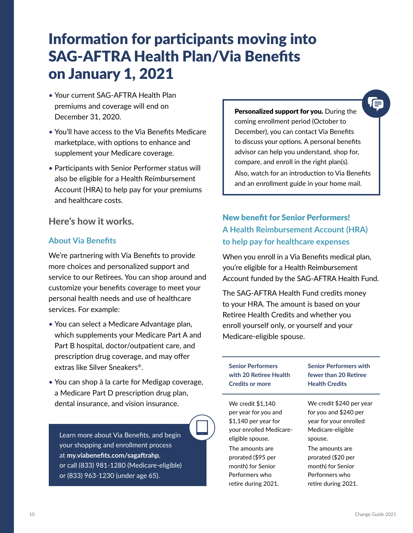## Information for participants moving into SAG-AFTRA Health Plan/Via Benefits on January 1, 2021

- Your current SAG-AFTRA Health Plan premiums and coverage will end on December 31, 2020.
- You'll have access to the Via Benefits Medicare marketplace, with options to enhance and supplement your Medicare coverage.
- Participants with Senior Performer status will also be eligible for a Health Reimbursement Account (HRA) to help pay for your premiums and healthcare costs.

Here's how it works.

#### **About Via Benefits**

We're partnering with Via Benefits to provide more choices and personalized support and service to our Retirees. You can shop around and customize your benefits coverage to meet your personal health needs and use of healthcare services. For example:

- You can select a Medicare Advantage plan, which supplements your Medicare Part A and Part B hospital, doctor/outpatient care, and prescription drug coverage, and may offer extras like Silver Sneakers®.
- You can shop à la carte for Medigap coverage, a Medicare Part D prescription drug plan, dental insurance, and vision insurance.

Learn more about Via Benefits, and begin your shopping and enrollment process at **[my.viabenefits.com/sagaftrahp](http://my.viabenefits.com/sagaftrahp)**, or call (833) 981-1280 (Medicare-eligible) or (833) 963-1230 (under age 65).

Personalized support for you. During the coming enrollment period (October to December), you can contact Via Benefits to discuss your options. A personal benefits advisor can help you understand, shop for, compare, and enroll in the right plan(s). Also, watch for an introduction to Via Benefits and an enrollment guide in your home mail.

#### New benefit for Senior Performers! **A Health Reimbursement Account (HRA) to help pay for healthcare expenses**

When you enroll in a Via Benefits medical plan, you're eligible for a Health Reimbursement Account funded by the SAG-AFTRA Health Fund.

The SAG-AFTRA Health Fund credits money to your HRA. The amount is based on your Retiree Health Credits and whether you enroll yourself only, or yourself and your Medicare-eligible spouse.

| <b>Senior Performers</b> | <b>Senior Performers with</b> |
|--------------------------|-------------------------------|
| with 20 Retiree Health   | fewer than 20 Retiree         |
| <b>Credits or more</b>   | <b>Health Credits</b>         |
| We credit \$1,140        | We credit \$240 per year      |
| per year for you and     | for you and \$240 per         |
| $$1,140$ per year for    | year for your enrolled        |
| your enrolled Medicare-  | Medicare-eligible             |
| eligible spouse.         | spouse.                       |
| The amounts are          | The amounts are               |
| prorated (\$95 per       | prorated (\$20 per            |
| month) for Senior        | month) for Senior             |
| Performers who           | Performers who                |
| retire during 2021.      | retire during 2021.           |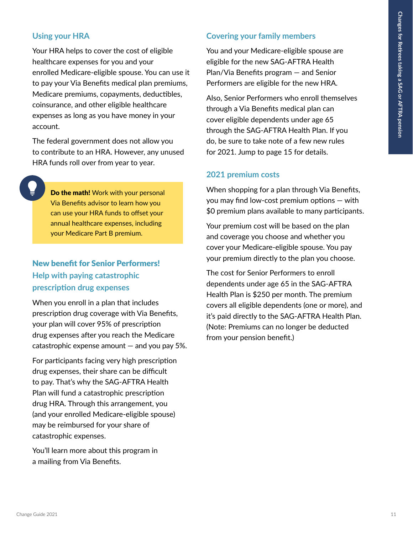#### **Using your HRA**

Your HRA helps to cover the cost of eligible healthcare expenses for you and your enrolled Medicare-eligible spouse. You can use it to pay your Via Benefits medical plan premiums, Medicare premiums, copayments, deductibles, coinsurance, and other eligible healthcare expenses as long as you have money in your account.

The federal government does not allow you to contribute to an HRA. However, any unused HRA funds roll over from year to year.

Do the math! Work with your personal Via Benefits advisor to learn how you can use your HRA funds to offset your annual healthcare expenses, including your Medicare Part B premium.

#### New benefit for Senior Performers! **Help with paying catastrophic prescription drug expenses**

When you enroll in a plan that includes prescription drug coverage with Via Benefits, your plan will cover 95% of prescription drug expenses after you reach the Medicare catastrophic expense amount  $-$  and you pay 5%.

For participants facing very high prescription drug expenses, their share can be difficult to pay. That's why the SAG-AFTRA Health Plan will fund a catastrophic prescription drug HRA. Through this arrangement, you (and your enrolled Medicare-eligible spouse) may be reimbursed for your share of catastrophic expenses.

You'll learn more about this program in a mailing from Via Benefits.

#### **Covering your family members**

You and your Medicare-eligible spouse are eligible for the new SAG-AFTRA Health Plan/Via Benefits program — and Senior Performers are eligible for the new HRA.

Also, Senior Performers who enroll themselves through a Via Benefits medical plan can cover eligible dependents under age 65 through the SAG-AFTRA Health Plan. If you do, be sure to take note of a few new rules for 2021. Jump to page 15 for details.

#### **2021 premium costs**

When shopping for a plan through Via Benefits, you may find low-cost premium options — with \$0 premium plans available to many participants.

Your premium cost will be based on the plan and coverage you choose and whether you cover your Medicare-eligible spouse. You pay your premium directly to the plan you choose.

The cost for Senior Performers to enroll dependents under age 65 in the SAG-AFTRA Health Plan is \$250 per month. The premium covers all eligible dependents (one or more), and it's paid directly to the SAG-AFTRA Health Plan. (Note: Premiums can no longer be deducted from your pension benefit.)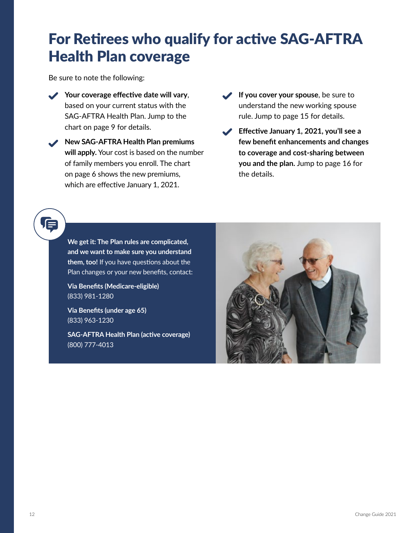## For Retirees who qualify for active SAG-AFTRA Health Plan coverage

Be sure to note the following:

- Your coverage effective date will vary, based on your current status with the SAG-AFTRA Health Plan. Jump to the chart on page 9 for details.
- **New SAG-AFTRA Health Plan premiums will apply.** Your cost is based on the number of family members you enroll. The chart on page 6 shows the new premiums, which are effective January 1, 2021.
- **If you cover your spouse**, be sure to understand the new working spouse rule. Jump to page 15 for details.
- **Effective January 1, 2021, you'll see a few benefit enhancements and changes to coverage and cost-sharing between you and the plan.** Jump to page 16 for the details.

## ſΞ

**We get it: The Plan rules are complicated, and we want to make sure you understand them, too!** If you have questions about the Plan changes or your new benefits, contact:

**Via Benefits (Medicare-eligible)** (833) 981-1280

**Via Benefits (under age 65)** (833) 963-1230

**SAG-AFTRA Health Plan (active coverage)**  (800) 777-4013

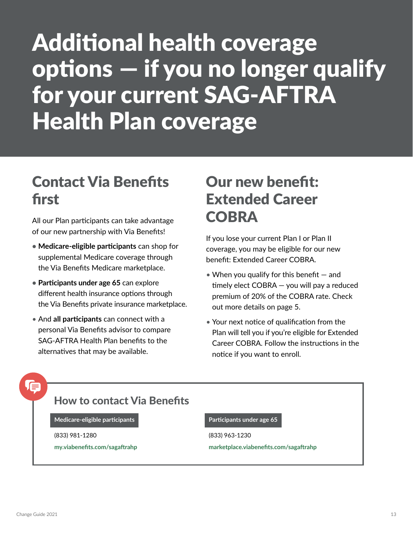## Additional health coverage options — if you no longer qualify for your current SAG-AFTRA Health Plan coverage

## Contact Via Benefits first

All our Plan participants can take advantage of our new partnership with Via Benefits!

- **• Medicare-eligible participants** can shop for supplemental Medicare coverage through the Via Benefits Medicare marketplace.
- **• Participants under age 65** can explore different health insurance options through the Via Benefits private insurance marketplace.
- And **all participants** can connect with a personal Via Benefits advisor to compare SAG-AFTRA Health Plan benefits to the alternatives that may be available.

## Our new benefit: Extended Career **COBRA**

If you lose your current Plan I or Plan II coverage, you may be eligible for our new benefit: Extended Career COBRA.

- When you qualify for this benefit  $-$  and timely elect COBRA — you will pay a reduced premium of 20% of the COBRA rate. Check out more details on page 5.
- Your next notice of qualification from the Plan will tell you if you're eligible for Extended Career COBRA. Follow the instructions in the notice if you want to enroll.

## 信

#### How to contact Via Benefits

**Medicare-eligible participants Participants under age 65** 

(833) 981-1280 (833) 963-1230

**[my.viabenefits.com/sagaftrahp](http://my.viabenefits.com/sagaftrahp) [marketplace.viabenefits.com/sagaftrahp](http://marketplace.viabenefits.com/sagaftrahp)**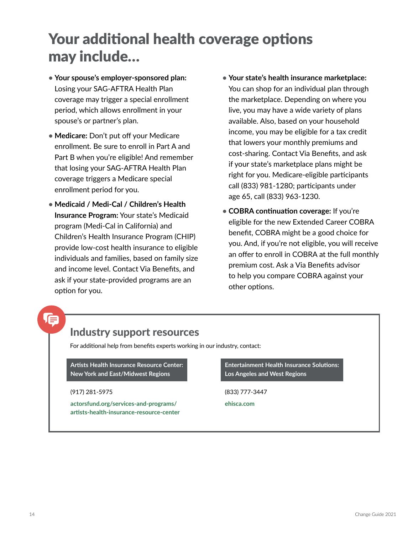## Your additional health coverage options may include…

- **• Your spouse's employer-sponsored plan:**  Losing your SAG-AFTRA Health Plan coverage may trigger a special enrollment period, which allows enrollment in your spouse's or partner's plan.
- **• Medicare:** Don't put off your Medicare enrollment. Be sure to enroll in Part A and Part B when you're eligible! And remember that losing your SAG-AFTRA Health Plan coverage triggers a Medicare special enrollment period for you.
- **• Medicaid / Medi-Cal / Children's Health Insurance Program:** Your state's Medicaid program (Medi-Cal in California) and Children's Health Insurance Program (CHIP) provide low-cost health insurance to eligible individuals and families, based on family size and income level. Contact Via Benefits, and ask if your state-provided programs are an option for you.
- **• Your state's health insurance marketplace:** You can shop for an individual plan through the marketplace. Depending on where you live, you may have a wide variety of plans available. Also, based on your household income, you may be eligible for a tax credit that lowers your monthly premiums and cost-sharing. Contact Via Benefits, and ask if your state's marketplace plans might be right for you. Medicare-eligible participants call (833) 981-1280; participants under age 65, call (833) 963-1230.
- **• COBRA continuation coverage:** If you're eligible for the new Extended Career COBRA benefit, COBRA might be a good choice for you. And, if you're not eligible, you will receive an offer to enroll in COBRA at the full monthly premium cost. Ask a Via Benefits advisor to help you compare COBRA against your other options.

### Industry support resources

For additional help from benefits experts working in our industry, contact:

**Artists Health Insurance Resource Center: New York and East/Midwest Regions**

**[actorsfund.org/services-and-programs/](http://actorsfund.org/services-and-programs/ artists-health-insurance-resource-center) [artists-health-insurance-resource-center](http://actorsfund.org/services-and-programs/ artists-health-insurance-resource-center)** **Entertainment Health Insurance Solutions: Los Angeles and West Regions**

(917) 281-5975 (833) 777-3447

**[ehisca.com](http://ehisca.com)**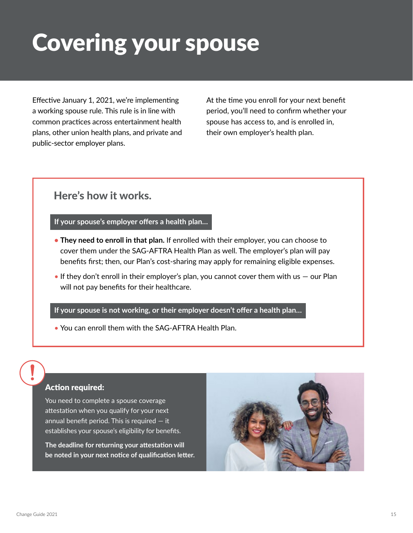## Covering your spouse

Effective January 1, 2021, we're implementing a working spouse rule. This rule is in line with common practices across entertainment health plans, other union health plans, and private and public-sector employer plans.

At the time you enroll for your next benefit period, you'll need to confirm whether your spouse has access to, and is enrolled in, their own employer's health plan.

#### Here's how it works.

#### **If your spouse's employer offers a health plan…**

- **• They need to enroll in that plan.** If enrolled with their employer, you can choose to cover them under the SAG-AFTRA Health Plan as well. The employer's plan will pay benefits first; then, our Plan's cost-sharing may apply for remaining eligible expenses.
- If they don't enroll in their employer's plan, you cannot cover them with us  $-$  our Plan will not pay benefits for their healthcare.

#### **If your spouse is not working, or their employer doesn't offer a health plan…**

• You can enroll them with the SAG-AFTRA Health Plan.

#### Action required:

You need to complete a spouse coverage attestation when you qualify for your next annual benefit period. This is required — it establishes your spouse's eligibility for benefits.

**The deadline for returning your attestation will be noted in your next notice of qualification letter.** 

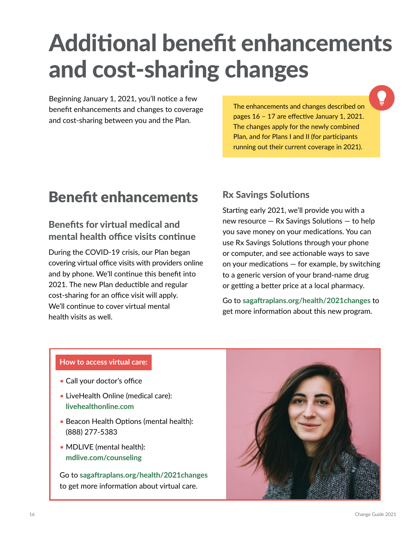## Additional benefit enhancements and cost-sharing changes

Beginning January 1, 2021, you'll notice a few benefit enhancements and changes to coverage and cost-sharing between you and the Plan.

The enhancements and changes described on pages 16 – 17 are effective January 1, 2021. The changes apply for the newly combined Plan, and for Plans I and II (for participants running out their current coverage in 2021).

## Benefit enhancements

#### Benefits for virtual medical and mental health office visits continue

During the COVID-19 crisis, our Plan began covering virtual office visits with providers online and by phone. We'll continue this benefit into 2021. The new Plan deductible and regular cost-sharing for an office visit will apply. We'll continue to cover virtual mental health visits as well.

#### Rx Savings Solutions

Starting early 2021, we'll provide you with a new resource — Rx Savings Solutions — to help you save money on your medications. You can use Rx Savings Solutions through your phone or computer, and see actionable ways to save on your medications — for example, by switching to a generic version of your brand-name drug or getting a better price at a local pharmacy.

Go to **[sagaftraplans.org/health/2021changes](http://sagaftraplans.org/health/2021changes)** to get more information about this new program.

#### **How to access virtual care:**

- Call your doctor's office
- LiveHealth Online (medical care): **[livehealthonline.com](http://livehealthonline.com)**
- Beacon Health Options (mental health): (888) 277-5383
- MDLIVE (mental health): **[mdlive.com/counseling](http://mdlive.com/counseling)**

Go to **[sagaftraplans.org/health/2021changes](http://sagaftraplans.org/health/2021changes)** to get more information about virtual care.

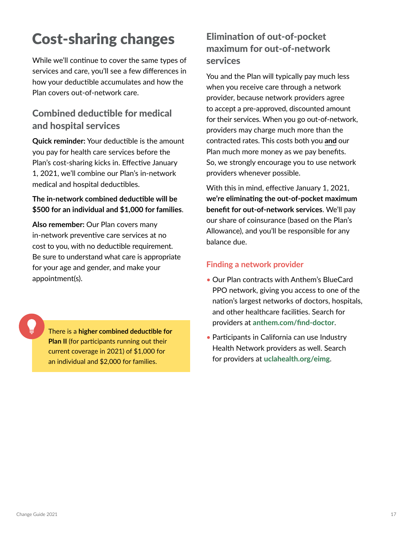## Cost-sharing changes

While we'll continue to cover the same types of services and care, you'll see a few differences in how your deductible accumulates and how the Plan covers out-of-network care.

#### Combined deductible for medical and hospital services

**Quick reminder:** Your deductible is the amount you pay for health care services before the Plan's cost-sharing kicks in. Effective January 1, 2021, we'll combine our Plan's in-network medical and hospital deductibles.

#### **The in-network combined deductible will be \$500 for an individual and \$1,000 for families**.

**Also remember:** Our Plan covers many in-network preventive care services at no cost to you, with no deductible requirement. Be sure to understand what care is appropriate for your age and gender, and make your appointment(s).

There is a **higher combined deductible for Plan II** (for participants running out their current coverage in 2021) of \$1,000 for an individual and \$2,000 for families.

#### Elimination of out-of-pocket maximum for out-of-network services

You and the Plan will typically pay much less when you receive care through a network provider, because network providers agree to accept a pre-approved, discounted amount for their services. When you go out-of-network, providers may charge much more than the contracted rates. This costs both you **and** our Plan much more money as we pay benefits. So, we strongly encourage you to use network providers whenever possible.

With this in mind, effective January 1, 2021, **we're eliminating the out-of-pocket maximum benefit for out-of-network services**. We'll pay our share of coinsurance (based on the Plan's Allowance), and you'll be responsible for any balance due.

#### **Finding a network provider**

- Our Plan contracts with Anthem's BlueCard PPO network, giving you access to one of the nation's largest networks of doctors, hospitals, and other healthcare facilities. Search for providers at **anthem.com/find-doctor**.
- Participants in California can use Industry Health Network providers as well. Search for providers at **uclahealth.org/eimg**.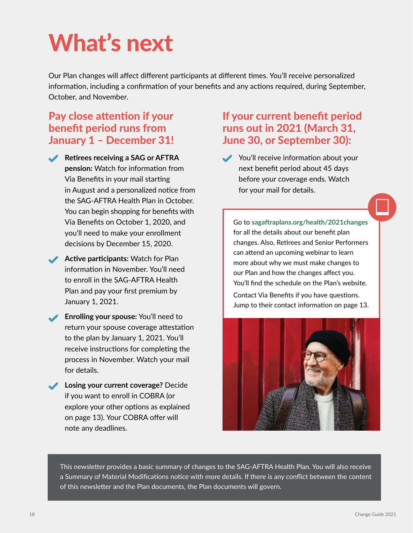## What's next

Our Plan changes will affect different participants at different times. You'll receive personalized information, including a confirmation of your benefits and any actions required, during September, October, and November.

#### Pay close attention if your benefit period runs from January 1 – December 31!

- **Retirees receiving a SAG or AFTRA pension:** Watch for information from Via Benefits in your mail starting in August and a personalized notice from the SAG-AFTRA Health Plan in October. You can begin shopping for benefits with Via Benefits on October 1, 2020, and you'll need to make your enrollment decisions by December 15, 2020.
	- **Active participants:** Watch for Plan information in November. You'll need to enroll in the SAG-AFTRA Health Plan and pay your first premium by January 1, 2021.
- **Enrolling your spouse:** You'll need to return your spouse coverage attestation to the plan by January 1, 2021. You'll receive instructions for completing the process in November. Watch your mail for details.
- **Losing your current coverage?** Decide if you want to enroll in COBRA (or explore your other options as explained on page 13). Your COBRA offer will note any deadlines.

#### If your current benefit period runs out in 2021 (March 31, June 30, or September 30):

You'll receive information about your next benefit period about 45 days before your coverage ends. Watch for your mail for details.

Go to **[sagaftraplans.org/health/2021changes](http://sagaftraplans.org/health/2021changes)** for all the details about our benefit plan changes. Also, Retirees and Senior Performers can attend an upcoming webinar to learn more about why we must make changes to our Plan and how the changes affect you. You'll find the schedule on the Plan's website.

Contact Via Benefits if you have questions. Jump to their contact information on page 13.



This newsletter provides a basic summary of changes to the SAG-AFTRA Health Plan. You will also receive a Summary of Material Modifications notice with more details. If there is any conflict between the content of this newsletter and the Plan documents, the Plan documents will govern.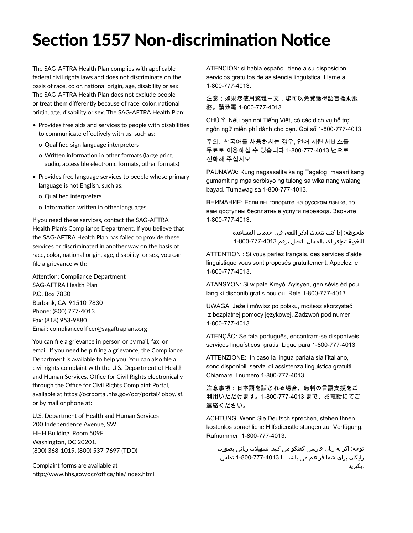## Section 1557 Non-discrimination Notice

The SAG-AFTRA Health Plan complies with applicable federal civil rights laws and does not discriminate on the basis of race, color, national origin, age, disability or sex. The SAG-AFTRA Health Plan does not exclude people or treat them differently because of race, color, national origin, age, disability or sex. The SAG-AFTRA Health Plan:

- Provides free aids and services to people with disabilities to communicate effectively with us, such as:
	- o Qualified sign language interpreters
	- o Written information in other formats (large print, audio, accessible electronic formats, other formats)
- Provides free language services to people whose primary language is not English, such as:
	- o Qualified interpreters
	- o Information written in other languages

If you need these services, contact the SAG-AFTRA Health Plan's Compliance Department. If you believe that the SAG-AFTRA Health Plan has failed to provide these services or discriminated in another way on the basis of race, color, national origin, age, disability, or sex, you can file a grievance with:

Attention: Compliance Department SAG-AFTRA Health Plan P.O. Box 7830 Burbank, CA 91510-7830 Phone: (800) 777-4013 Fax: (818) 953-9880 Email: complianceofficer@sagaftraplans.org

You can file a grievance in person or by mail, fax, or email. If you need help filing a grievance, the Compliance Department is available to help you. You can also file a civil rights complaint with the U.S. Department of Health and Human Services, Office for Civil Rights electronically through the Office for Civil Rights Complaint Portal, available at https://ocrportal.hhs.gov/ocr/portal/lobby.jsf, or by mail or phone at:

U.S. Department of Health and Human Services 200 Independence Avenue, SW HHH Building, Room 509F Washington, DC 20201, (800) 368-1019, (800) 537-7697 (TDD)

Complaint forms are available at http://www.hhs.gov/ocr/office/file/index.html. ATENCIÓN: si habla español, tiene a su disposición servicios gratuitos de asistencia lingüística. Llame al 1-800-777-4013.

注意:如果您使用繁體中文,您可以免費獲得語言援助服 務。請致電 1-800-777-4013

CHÚ Ý: Nếu bạn nói Tiếng Việt, có các dịch vụ hỗ trợ ngôn ngữ miễn phí dành cho bạn. Gọi số 1-800-777-4013.

주의: 한국어를 사용하시는 경우, 언어 지원 서비스를 무료로 이용하실 수 있습니다 1-800-777-4013 번으로 전화해 주십시오.

PAUNAWA: Kung nagsasalita ka ng Tagalog, maaari kang gumamit ng mga serbisyo ng tulong sa wika nang walang bayad. Tumawag sa 1-800-777-4013.

ВНИМАНИЕ: Если вы говорите на русском языке, то вам доступны бесплатные услуги перевода. Звоните 1-800-777-4013.

> ملحوظة: إذا كنت تتحدث اذكر اللغة، فإن خدمات المساعدة اللغوية تتوافر لك بالمجان. اتصل برقم .1-800-777-4013

ATTENTION : Si vous parlez français, des services d'aide linguistique vous sont proposés gratuitement. Appelez le 1-800-777-4013.

ATANSYON: Si w pale Kreyòl Ayisyen, gen sèvis èd pou lang ki disponib gratis pou ou. Rele 1-800-777-4013

UWAGA: Jeżeli mówisz po polsku, możesz skorzystać z bezpłatnej pomocy językowej. Zadzwoń pod numer 1-800-777-4013.

ATENÇÃO: Se fala português, encontram-se disponíveis serviços linguísticos, grátis. Ligue para 1-800-777-4013.

ATTENZIONE: In caso la lingua parlata sia l'italiano, sono disponibili servizi di assistenza linguistica gratuiti. Chiamare il numero 1-800-777-4013.

注意事項:日本語を話される場合、無料の言語支援をご 利用いただけます。1-800-777-4013 まで、お電話にてご 連絡ください。

ACHTUNG: Wenn Sie Deutsch sprechen, stehen Ihnen kostenlos sprachliche Hilfsdienstleistungen zur Verfügung. Rufnummer: 1-800-777-4013.

توجه: اگر به زبان فارسی گفتگو می کنید، تسهیالت زبانی بصورت رایگان برای شما فراهم می باشد. با 1-800-777-4013 تماس .بگیرید